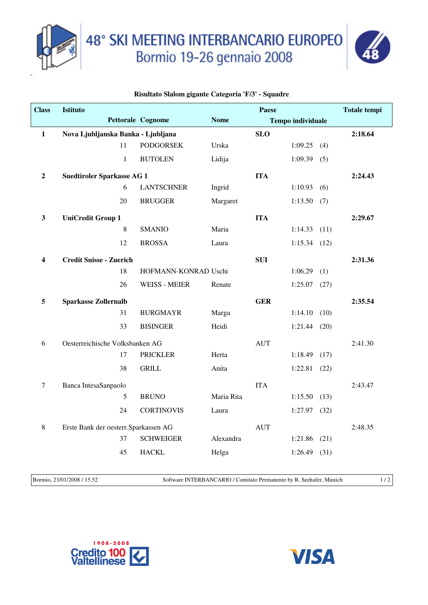

48° SKI MEETING INTERBANCARIO EUROPEO<br>Bormio 19-26 gennaio 2008



## **Risultato Slalom gigante Categoria 'F/3' - Squadre**

| <b>Class</b>   | <b>Istituto</b>                       |                          |             | <b>Paese</b> |                          |      | <b>Totale tempi</b> |
|----------------|---------------------------------------|--------------------------|-------------|--------------|--------------------------|------|---------------------|
|                |                                       | <b>Pettorale Cognome</b> | <b>Nome</b> |              | <b>Tempo individuale</b> |      |                     |
| $\mathbf{1}$   | Nova Ljubljanska Banka - Ljubljana    |                          |             | <b>SLO</b>   |                          |      | 2:18.64             |
|                | 11                                    | <b>PODGORSEK</b>         | Urska       |              | 1:09.25                  | (4)  |                     |
|                | $\mathbf{1}$                          | <b>BUTOLEN</b>           | Lidija      |              | 1:09.39(5)               |      |                     |
| $\overline{2}$ | <b>Suedtiroler Sparkasse AG 1</b>     |                          |             | <b>ITA</b>   |                          |      | 2:24.43             |
|                | 6                                     | <b>LANTSCHNER</b>        | Ingrid      |              | 1:10.93(6)               |      |                     |
|                | 20                                    | <b>BRUGGER</b>           | Margaret    |              | 1:13.50(7)               |      |                     |
| $\mathbf{3}$   | <b>UniCredit Group 1</b>              |                          |             | <b>ITA</b>   |                          |      | 2:29.67             |
|                | $\,8\,$                               | <b>SMANIO</b>            | Maria       |              | 1:14.33(11)              |      |                     |
|                | 12                                    | <b>BROSSA</b>            | Laura       |              | $1:15.34$ (12)           |      |                     |
| 4              | <b>Credit Suisse - Zuerich</b>        |                          |             | <b>SUI</b>   |                          |      | 2:31.36             |
|                | 18                                    | HOFMANN-KONRAD Uschi     |             |              | 1:06.29                  | (1)  |                     |
|                | 26                                    | <b>WEISS - MEIER</b>     | Renate      |              | $1:25.07$ (27)           |      |                     |
| 5              | <b>Sparkasse Zollernalb</b>           |                          |             | <b>GER</b>   |                          |      | 2:35.54             |
|                | 31                                    | <b>BURGMAYR</b>          | Marga       |              | 1:14.10                  | (10) |                     |
|                | 33                                    | <b>BISINGER</b>          | Heidi       |              | 1:21.44                  | (20) |                     |
| 6              | Oesterreichische Volksbanken AG       |                          |             | <b>AUT</b>   |                          |      | 2:41.30             |
|                | 17                                    | <b>PRICKLER</b>          | Herta       |              | 1:18.49                  | (17) |                     |
|                | 38                                    | <b>GRILL</b>             | Anita       |              | $1:22.81$ (22)           |      |                     |
| 7              | Banca IntesaSanpaolo                  |                          |             | <b>ITA</b>   |                          |      | 2:43.47             |
|                | 5                                     | <b>BRUNO</b>             | Maria Rita  |              | 1:15.50                  | (13) |                     |
|                | 24                                    | <b>CORTINOVIS</b>        | Laura       |              | 1:27.97                  | (32) |                     |
| $\,8\,$        | Erste Bank der oesterr. Sparkassen AG |                          |             | <b>AUT</b>   |                          |      | 2:48.35             |
|                | 37                                    | <b>SCHWEIGER</b>         | Alexandra   |              | $1:21.86$ (21)           |      |                     |
|                | 45                                    | <b>HACKL</b>             | Helga       |              | 1:26.49                  | (31) |                     |
|                |                                       |                          |             |              |                          |      |                     |

Bormio, 23/01/2008 / 15.52 Software INTERBANCARIO / Comitato Permanente by R. Seehafer, Munich 1 / 2